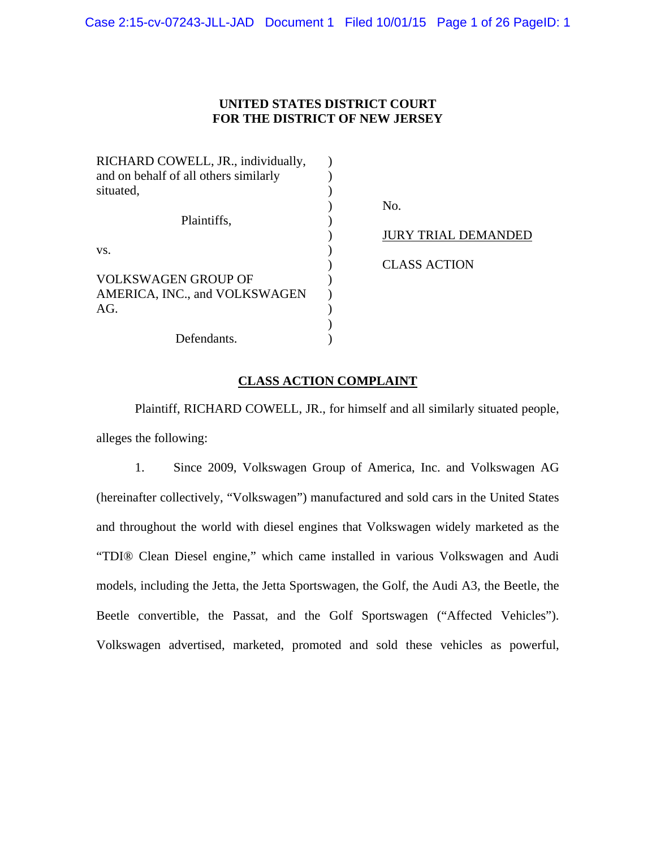Case 2:15-cv-07243-JLL-JAD Document 1 Filed 10/01/15 Page 1 of 26 PageID: 1

## **UNITED STATES DISTRICT COURT FOR THE DISTRICT OF NEW JERSEY**

| RICHARD COWELL, JR., individually,    |                            |
|---------------------------------------|----------------------------|
| and on behalf of all others similarly |                            |
| situated,                             |                            |
|                                       | No.                        |
| Plaintiffs,                           |                            |
|                                       | <b>JURY TRIAL DEMANDED</b> |
| VS.                                   |                            |
|                                       | <b>CLASS ACTION</b>        |
| <b>VOLKSWAGEN GROUP OF</b>            |                            |
| AMERICA, INC., and VOLKSWAGEN         |                            |
| AG.                                   |                            |
|                                       |                            |
| Defendants.                           |                            |

# **CLASS ACTION COMPLAINT**

 Plaintiff, RICHARD COWELL, JR., for himself and all similarly situated people, alleges the following:

1. Since 2009, Volkswagen Group of America, Inc. and Volkswagen AG (hereinafter collectively, "Volkswagen") manufactured and sold cars in the United States and throughout the world with diesel engines that Volkswagen widely marketed as the "TDI® Clean Diesel engine," which came installed in various Volkswagen and Audi models, including the Jetta, the Jetta Sportswagen, the Golf, the Audi A3, the Beetle, the Beetle convertible, the Passat, and the Golf Sportswagen ("Affected Vehicles"). Volkswagen advertised, marketed, promoted and sold these vehicles as powerful,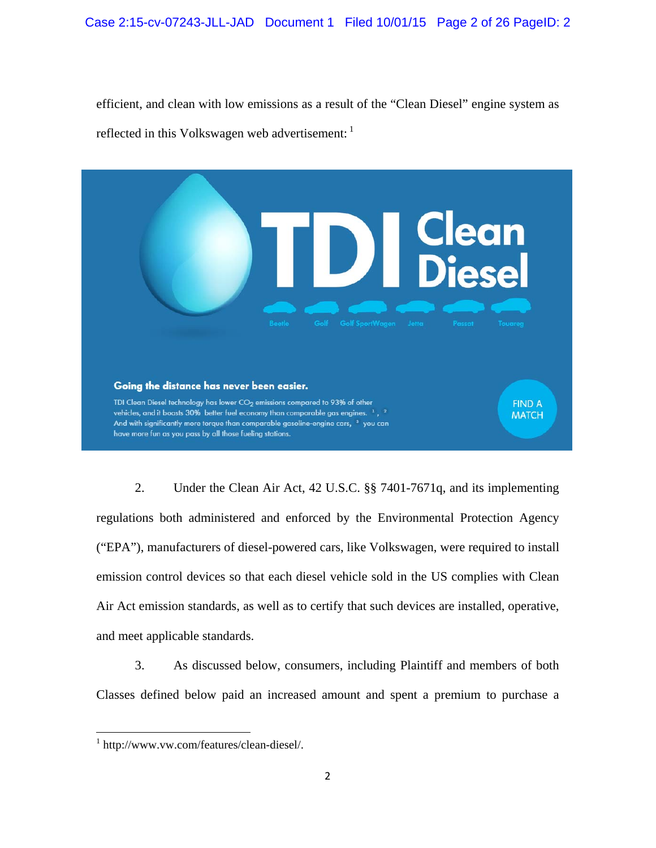efficient, and clean with low emissions as a result of the "Clean Diesel" engine system as reflected in this Volkswagen web advertisement:



2. Under the Clean Air Act, 42 U.S.C. §§ 7401-7671q, and its implementing regulations both administered and enforced by the Environmental Protection Agency ("EPA"), manufacturers of diesel-powered cars, like Volkswagen, were required to install emission control devices so that each diesel vehicle sold in the US complies with Clean Air Act emission standards, as well as to certify that such devices are installed, operative, and meet applicable standards.

3. As discussed below, consumers, including Plaintiff and members of both Classes defined below paid an increased amount and spent a premium to purchase a

<sup>1</sup> http://www.vw.com/features/clean-diesel/.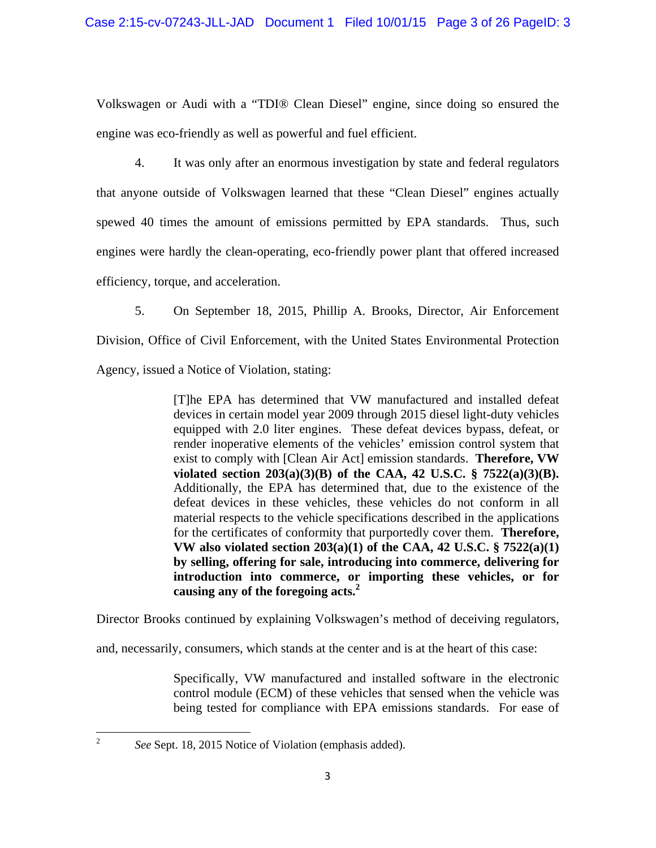Volkswagen or Audi with a "TDI® Clean Diesel" engine, since doing so ensured the engine was eco-friendly as well as powerful and fuel efficient.

4. It was only after an enormous investigation by state and federal regulators that anyone outside of Volkswagen learned that these "Clean Diesel" engines actually spewed 40 times the amount of emissions permitted by EPA standards. Thus, such engines were hardly the clean-operating, eco-friendly power plant that offered increased efficiency, torque, and acceleration.

5. On September 18, 2015, Phillip A. Brooks, Director, Air Enforcement

Division, Office of Civil Enforcement, with the United States Environmental Protection

Agency, issued a Notice of Violation, stating:

[T]he EPA has determined that VW manufactured and installed defeat devices in certain model year 2009 through 2015 diesel light-duty vehicles equipped with 2.0 liter engines. These defeat devices bypass, defeat, or render inoperative elements of the vehicles' emission control system that exist to comply with [Clean Air Act] emission standards. **Therefore, VW violated section 203(a)(3)(B) of the CAA, 42 U.S.C. § 7522(a)(3)(B).**  Additionally, the EPA has determined that, due to the existence of the defeat devices in these vehicles, these vehicles do not conform in all material respects to the vehicle specifications described in the applications for the certificates of conformity that purportedly cover them. **Therefore, VW also violated section 203(a)(1) of the CAA, 42 U.S.C. § 7522(a)(1) by selling, offering for sale, introducing into commerce, delivering for introduction into commerce, or importing these vehicles, or for causing any of the foregoing acts.2**

Director Brooks continued by explaining Volkswagen's method of deceiving regulators,

and, necessarily, consumers, which stands at the center and is at the heart of this case:

Specifically, VW manufactured and installed software in the electronic control module (ECM) of these vehicles that sensed when the vehicle was being tested for compliance with EPA emissions standards. For ease of

*See* Sept. 18, 2015 Notice of Violation (emphasis added).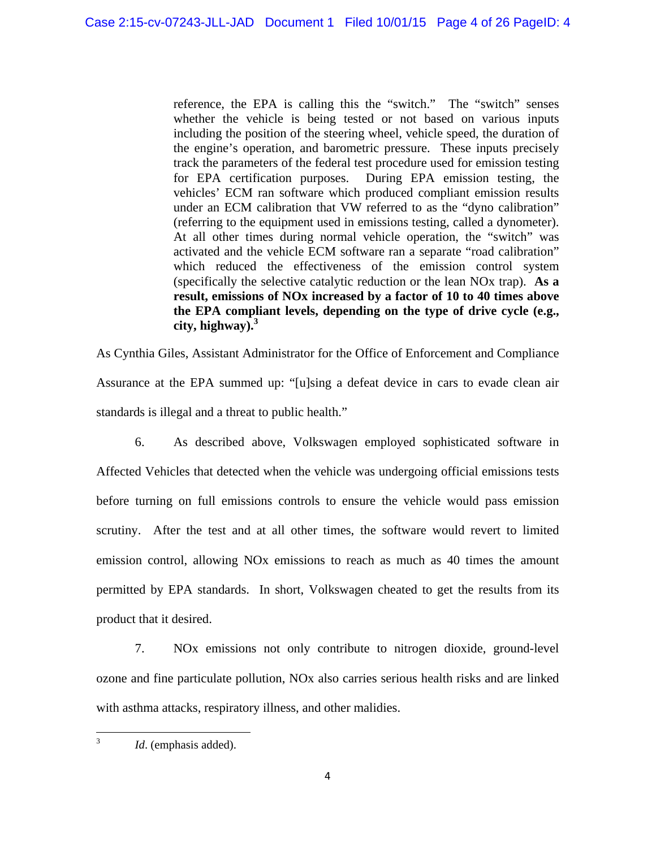reference, the EPA is calling this the "switch." The "switch" senses whether the vehicle is being tested or not based on various inputs including the position of the steering wheel, vehicle speed, the duration of the engine's operation, and barometric pressure. These inputs precisely track the parameters of the federal test procedure used for emission testing for EPA certification purposes. During EPA emission testing, the vehicles' ECM ran software which produced compliant emission results under an ECM calibration that VW referred to as the "dyno calibration" (referring to the equipment used in emissions testing, called a dynometer). At all other times during normal vehicle operation, the "switch" was activated and the vehicle ECM software ran a separate "road calibration" which reduced the effectiveness of the emission control system (specifically the selective catalytic reduction or the lean NOx trap). **As a result, emissions of NOx increased by a factor of 10 to 40 times above the EPA compliant levels, depending on the type of drive cycle (e.g., city, highway).3**

As Cynthia Giles, Assistant Administrator for the Office of Enforcement and Compliance Assurance at the EPA summed up: "[u]sing a defeat device in cars to evade clean air standards is illegal and a threat to public health."

6. As described above, Volkswagen employed sophisticated software in Affected Vehicles that detected when the vehicle was undergoing official emissions tests before turning on full emissions controls to ensure the vehicle would pass emission scrutiny. After the test and at all other times, the software would revert to limited emission control, allowing NOx emissions to reach as much as 40 times the amount permitted by EPA standards. In short, Volkswagen cheated to get the results from its product that it desired.

7. NOx emissions not only contribute to nitrogen dioxide, ground-level ozone and fine particulate pollution, NOx also carries serious health risks and are linked with asthma attacks, respiratory illness, and other malidies.

 3 *Id*. (emphasis added).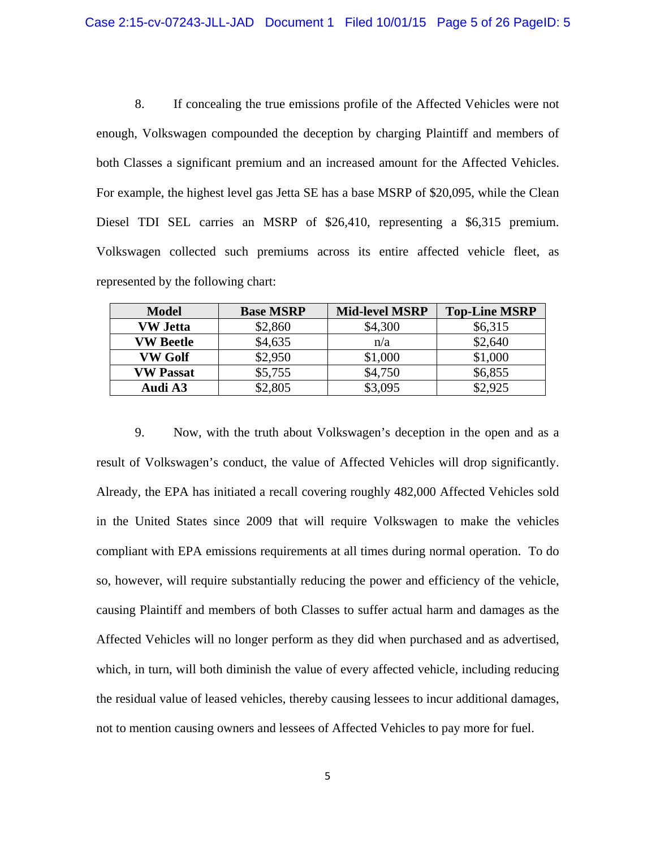8. If concealing the true emissions profile of the Affected Vehicles were not enough, Volkswagen compounded the deception by charging Plaintiff and members of both Classes a significant premium and an increased amount for the Affected Vehicles. For example, the highest level gas Jetta SE has a base MSRP of \$20,095, while the Clean Diesel TDI SEL carries an MSRP of \$26,410, representing a \$6,315 premium. Volkswagen collected such premiums across its entire affected vehicle fleet, as represented by the following chart:

| <b>Model</b>     | <b>Base MSRP</b> | <b>Mid-level MSRP</b> | <b>Top-Line MSRP</b> |
|------------------|------------------|-----------------------|----------------------|
| <b>VW Jetta</b>  | \$2,860          | \$4,300               | \$6,315              |
| <b>VW Beetle</b> | \$4,635          | n/a                   | \$2,640              |
| VW Golf          | \$2,950          | \$1,000               | \$1,000              |
| <b>VW Passat</b> | \$5,755          | \$4,750               | \$6,855              |
| Audi A3          | \$2,805          | \$3,095               | \$2,925              |

9. Now, with the truth about Volkswagen's deception in the open and as a result of Volkswagen's conduct, the value of Affected Vehicles will drop significantly. Already, the EPA has initiated a recall covering roughly 482,000 Affected Vehicles sold in the United States since 2009 that will require Volkswagen to make the vehicles compliant with EPA emissions requirements at all times during normal operation. To do so, however, will require substantially reducing the power and efficiency of the vehicle, causing Plaintiff and members of both Classes to suffer actual harm and damages as the Affected Vehicles will no longer perform as they did when purchased and as advertised, which, in turn, will both diminish the value of every affected vehicle, including reducing the residual value of leased vehicles, thereby causing lessees to incur additional damages, not to mention causing owners and lessees of Affected Vehicles to pay more for fuel.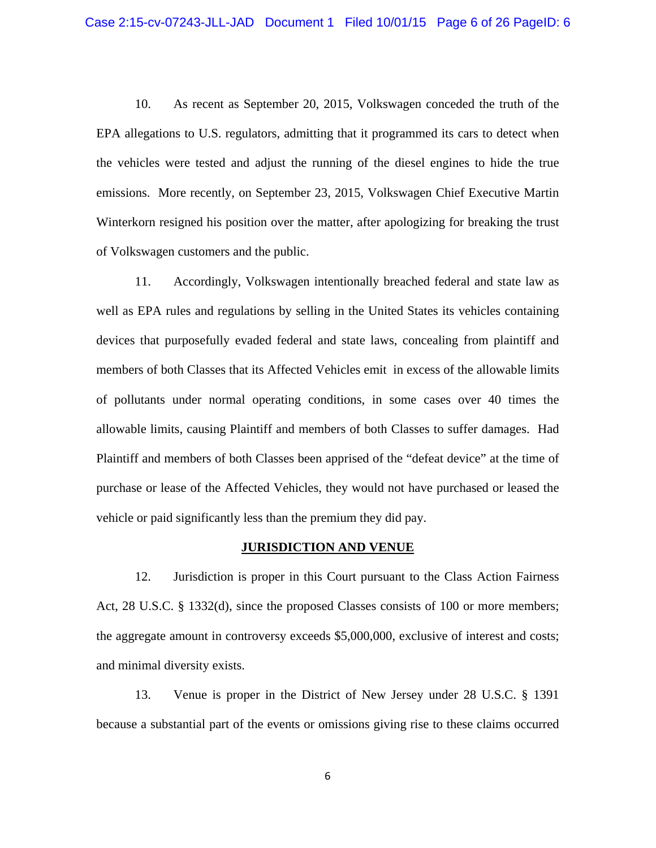10. As recent as September 20, 2015, Volkswagen conceded the truth of the EPA allegations to U.S. regulators, admitting that it programmed its cars to detect when the vehicles were tested and adjust the running of the diesel engines to hide the true emissions. More recently, on September 23, 2015, Volkswagen Chief Executive Martin Winterkorn resigned his position over the matter, after apologizing for breaking the trust of Volkswagen customers and the public.

11. Accordingly, Volkswagen intentionally breached federal and state law as well as EPA rules and regulations by selling in the United States its vehicles containing devices that purposefully evaded federal and state laws, concealing from plaintiff and members of both Classes that its Affected Vehicles emit in excess of the allowable limits of pollutants under normal operating conditions, in some cases over 40 times the allowable limits, causing Plaintiff and members of both Classes to suffer damages. Had Plaintiff and members of both Classes been apprised of the "defeat device" at the time of purchase or lease of the Affected Vehicles, they would not have purchased or leased the vehicle or paid significantly less than the premium they did pay.

## **JURISDICTION AND VENUE**

12. Jurisdiction is proper in this Court pursuant to the Class Action Fairness Act, 28 U.S.C. § 1332(d), since the proposed Classes consists of 100 or more members; the aggregate amount in controversy exceeds \$5,000,000, exclusive of interest and costs; and minimal diversity exists.

13. Venue is proper in the District of New Jersey under 28 U.S.C. § 1391 because a substantial part of the events or omissions giving rise to these claims occurred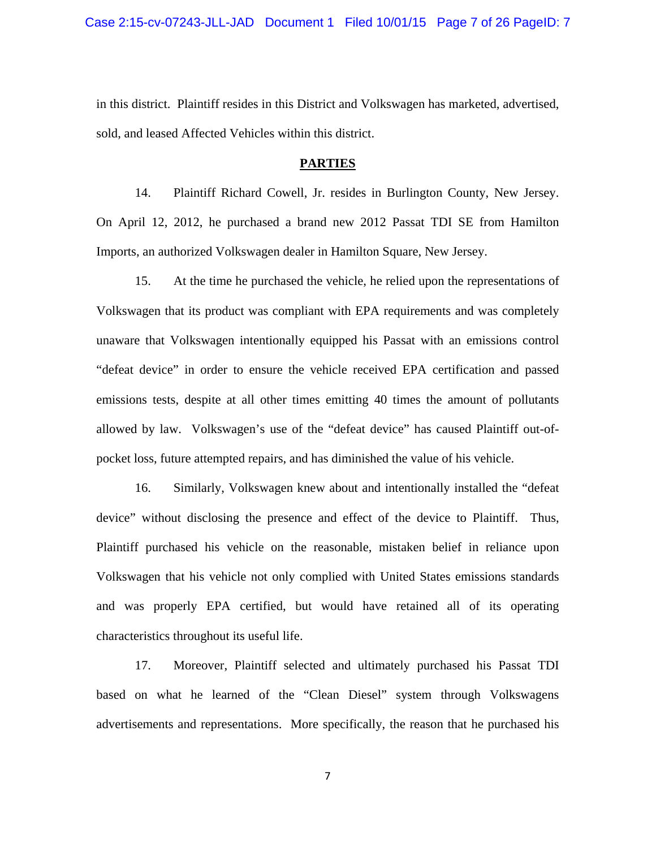in this district. Plaintiff resides in this District and Volkswagen has marketed, advertised, sold, and leased Affected Vehicles within this district.

#### **PARTIES**

14. Plaintiff Richard Cowell, Jr. resides in Burlington County, New Jersey. On April 12, 2012, he purchased a brand new 2012 Passat TDI SE from Hamilton Imports, an authorized Volkswagen dealer in Hamilton Square, New Jersey.

15. At the time he purchased the vehicle, he relied upon the representations of Volkswagen that its product was compliant with EPA requirements and was completely unaware that Volkswagen intentionally equipped his Passat with an emissions control "defeat device" in order to ensure the vehicle received EPA certification and passed emissions tests, despite at all other times emitting 40 times the amount of pollutants allowed by law. Volkswagen's use of the "defeat device" has caused Plaintiff out-ofpocket loss, future attempted repairs, and has diminished the value of his vehicle.

16. Similarly, Volkswagen knew about and intentionally installed the "defeat device" without disclosing the presence and effect of the device to Plaintiff. Thus, Plaintiff purchased his vehicle on the reasonable, mistaken belief in reliance upon Volkswagen that his vehicle not only complied with United States emissions standards and was properly EPA certified, but would have retained all of its operating characteristics throughout its useful life.

17. Moreover, Plaintiff selected and ultimately purchased his Passat TDI based on what he learned of the "Clean Diesel" system through Volkswagens advertisements and representations. More specifically, the reason that he purchased his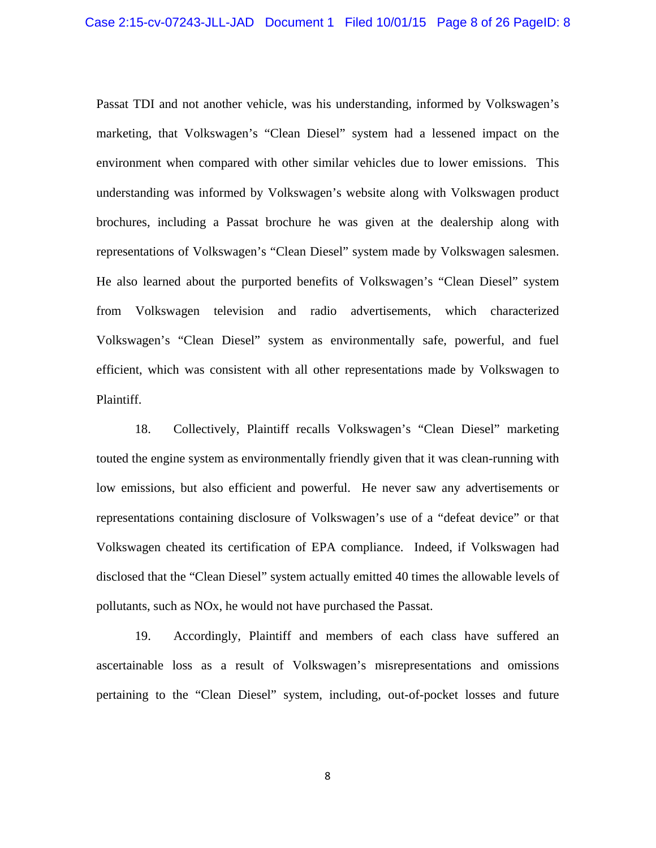Passat TDI and not another vehicle, was his understanding, informed by Volkswagen's marketing, that Volkswagen's "Clean Diesel" system had a lessened impact on the environment when compared with other similar vehicles due to lower emissions. This understanding was informed by Volkswagen's website along with Volkswagen product brochures, including a Passat brochure he was given at the dealership along with representations of Volkswagen's "Clean Diesel" system made by Volkswagen salesmen. He also learned about the purported benefits of Volkswagen's "Clean Diesel" system from Volkswagen television and radio advertisements, which characterized Volkswagen's "Clean Diesel" system as environmentally safe, powerful, and fuel efficient, which was consistent with all other representations made by Volkswagen to Plaintiff.

18. Collectively, Plaintiff recalls Volkswagen's "Clean Diesel" marketing touted the engine system as environmentally friendly given that it was clean-running with low emissions, but also efficient and powerful. He never saw any advertisements or representations containing disclosure of Volkswagen's use of a "defeat device" or that Volkswagen cheated its certification of EPA compliance. Indeed, if Volkswagen had disclosed that the "Clean Diesel" system actually emitted 40 times the allowable levels of pollutants, such as NOx, he would not have purchased the Passat.

19. Accordingly, Plaintiff and members of each class have suffered an ascertainable loss as a result of Volkswagen's misrepresentations and omissions pertaining to the "Clean Diesel" system, including, out-of-pocket losses and future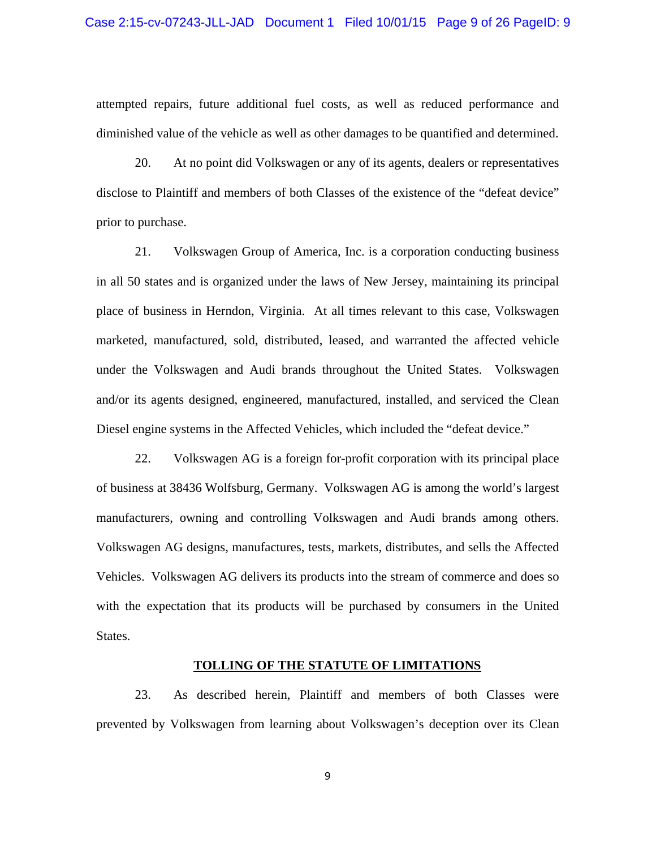attempted repairs, future additional fuel costs, as well as reduced performance and diminished value of the vehicle as well as other damages to be quantified and determined.

20. At no point did Volkswagen or any of its agents, dealers or representatives disclose to Plaintiff and members of both Classes of the existence of the "defeat device" prior to purchase.

21. Volkswagen Group of America, Inc. is a corporation conducting business in all 50 states and is organized under the laws of New Jersey, maintaining its principal place of business in Herndon, Virginia. At all times relevant to this case, Volkswagen marketed, manufactured, sold, distributed, leased, and warranted the affected vehicle under the Volkswagen and Audi brands throughout the United States. Volkswagen and/or its agents designed, engineered, manufactured, installed, and serviced the Clean Diesel engine systems in the Affected Vehicles, which included the "defeat device."

22. Volkswagen AG is a foreign for-profit corporation with its principal place of business at 38436 Wolfsburg, Germany. Volkswagen AG is among the world's largest manufacturers, owning and controlling Volkswagen and Audi brands among others. Volkswagen AG designs, manufactures, tests, markets, distributes, and sells the Affected Vehicles. Volkswagen AG delivers its products into the stream of commerce and does so with the expectation that its products will be purchased by consumers in the United States.

## **TOLLING OF THE STATUTE OF LIMITATIONS**

23. As described herein, Plaintiff and members of both Classes were prevented by Volkswagen from learning about Volkswagen's deception over its Clean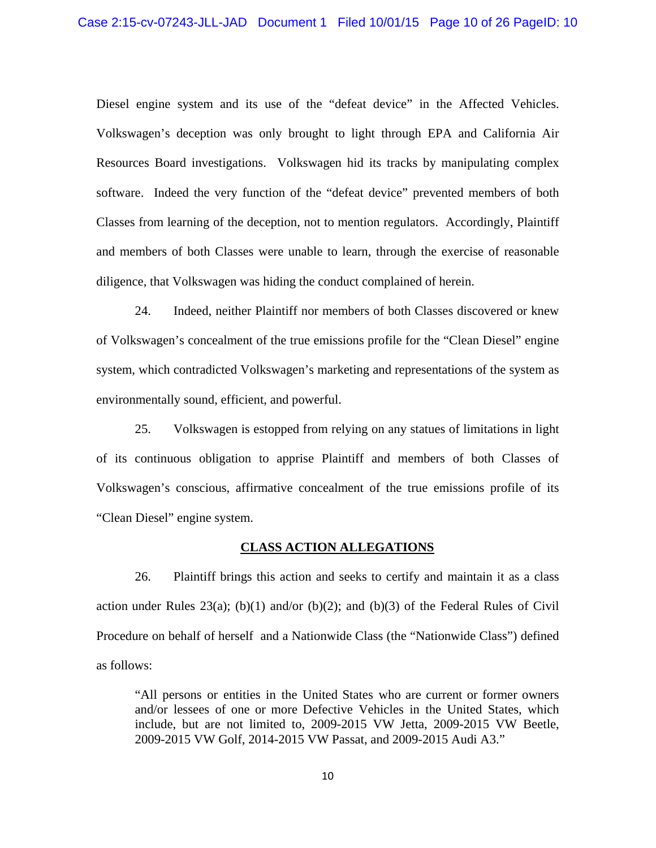Diesel engine system and its use of the "defeat device" in the Affected Vehicles. Volkswagen's deception was only brought to light through EPA and California Air Resources Board investigations. Volkswagen hid its tracks by manipulating complex software. Indeed the very function of the "defeat device" prevented members of both Classes from learning of the deception, not to mention regulators. Accordingly, Plaintiff and members of both Classes were unable to learn, through the exercise of reasonable diligence, that Volkswagen was hiding the conduct complained of herein.

24. Indeed, neither Plaintiff nor members of both Classes discovered or knew of Volkswagen's concealment of the true emissions profile for the "Clean Diesel" engine system, which contradicted Volkswagen's marketing and representations of the system as environmentally sound, efficient, and powerful.

25. Volkswagen is estopped from relying on any statues of limitations in light of its continuous obligation to apprise Plaintiff and members of both Classes of Volkswagen's conscious, affirmative concealment of the true emissions profile of its "Clean Diesel" engine system.

## **CLASS ACTION ALLEGATIONS**

26. Plaintiff brings this action and seeks to certify and maintain it as a class action under Rules  $23(a)$ ; (b)(1) and/or (b)(2); and (b)(3) of the Federal Rules of Civil Procedure on behalf of herself and a Nationwide Class (the "Nationwide Class") defined as follows:

"All persons or entities in the United States who are current or former owners and/or lessees of one or more Defective Vehicles in the United States, which include, but are not limited to, 2009-2015 VW Jetta, 2009-2015 VW Beetle, 2009-2015 VW Golf, 2014-2015 VW Passat, and 2009-2015 Audi A3."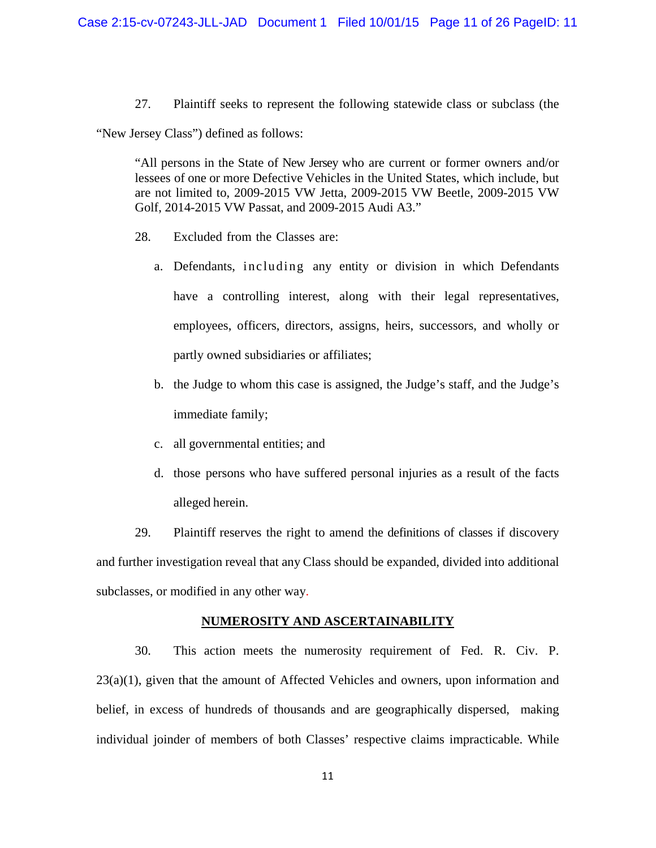27. Plaintiff seeks to represent the following statewide class or subclass (the

"New Jersey Class") defined as follows:

"All persons in the State of New Jersey who are current or former owners and/or lessees of one or more Defective Vehicles in the United States, which include, but are not limited to, 2009-2015 VW Jetta, 2009-2015 VW Beetle, 2009-2015 VW Golf, 2014-2015 VW Passat, and 2009-2015 Audi A3."

- 28. Excluded from the Classes are:
	- a. Defendants, including any entity or division in which Defendants have a controlling interest, along with their legal representatives, employees, officers, directors, assigns, heirs, successors, and wholly or partly owned subsidiaries or affiliates;
	- b. the Judge to whom this case is assigned, the Judge's staff, and the Judge's immediate family;
	- c. all governmental entities; and
	- d. those persons who have suffered personal injuries as a result of the facts alleged herein.

29. Plaintiff reserves the right to amend the definitions of classes if discovery and further investigation reveal that any Class should be expanded, divided into additional subclasses, or modified in any other way.

## **NUMEROSITY AND ASCERTAINABILITY**

30. This action meets the numerosity requirement of Fed. R. Civ. P. 23(a)(1), given that the amount of Affected Vehicles and owners, upon information and belief, in excess of hundreds of thousands and are geographically dispersed, making individual joinder of members of both Classes' respective claims impracticable. While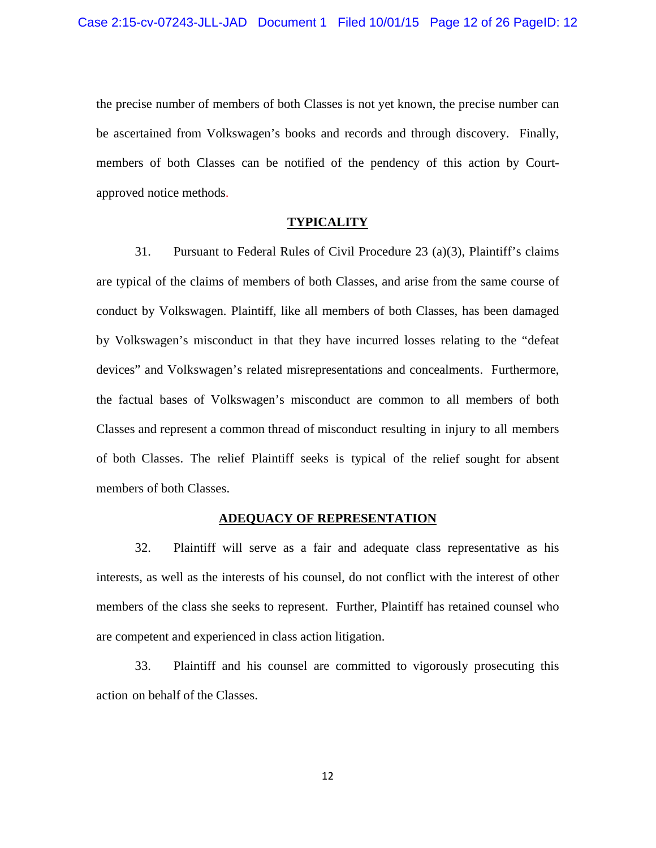the precise number of members of both Classes is not yet known, the precise number can be ascertained from Volkswagen's books and records and through discovery. Finally, members of both Classes can be notified of the pendency of this action by Courtapproved notice methods.

#### **TYPICALITY**

31. Pursuant to Federal Rules of Civil Procedure 23 (a)(3), Plaintiff's claims are typical of the claims of members of both Classes, and arise from the same course of conduct by Volkswagen. Plaintiff, like all members of both Classes, has been damaged by Volkswagen's misconduct in that they have incurred losses relating to the "defeat devices" and Volkswagen's related misrepresentations and concealments. Furthermore, the factual bases of Volkswagen's misconduct are common to all members of both Classes and represent a common thread of misconduct resulting in injury to all members of both Classes. The relief Plaintiff seeks is typical of the relief sought for absent members of both Classes.

## **ADEQUACY OF REPRESENTATION**

32. Plaintiff will serve as a fair and adequate class representative as his interests, as well as the interests of his counsel, do not conflict with the interest of other members of the class she seeks to represent. Further, Plaintiff has retained counsel who are competent and experienced in class action litigation.

33. Plaintiff and his counsel are committed to vigorously prosecuting this action on behalf of the Classes.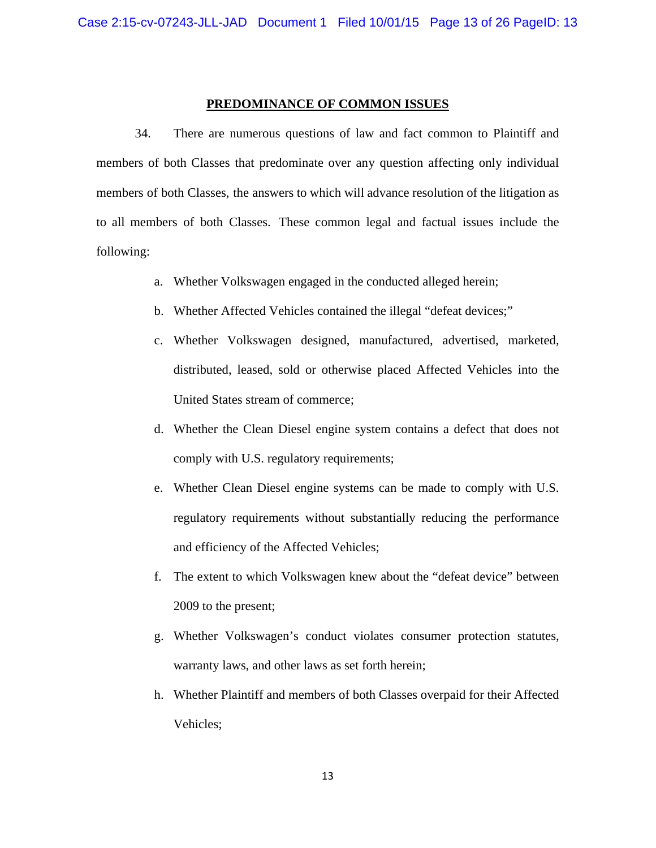#### **PREDOMINANCE OF COMMON ISSUES**

34. There are numerous questions of law and fact common to Plaintiff and members of both Classes that predominate over any question affecting only individual members of both Classes, the answers to which will advance resolution of the litigation as to all members of both Classes. These common legal and factual issues include the following:

- a. Whether Volkswagen engaged in the conducted alleged herein;
- b. Whether Affected Vehicles contained the illegal "defeat devices;"
- c. Whether Volkswagen designed, manufactured, advertised, marketed, distributed, leased, sold or otherwise placed Affected Vehicles into the United States stream of commerce;
- d. Whether the Clean Diesel engine system contains a defect that does not comply with U.S. regulatory requirements;
- e. Whether Clean Diesel engine systems can be made to comply with U.S. regulatory requirements without substantially reducing the performance and efficiency of the Affected Vehicles;
- f. The extent to which Volkswagen knew about the "defeat device" between 2009 to the present;
- g. Whether Volkswagen's conduct violates consumer protection statutes, warranty laws, and other laws as set forth herein;
- h. Whether Plaintiff and members of both Classes overpaid for their Affected Vehicles;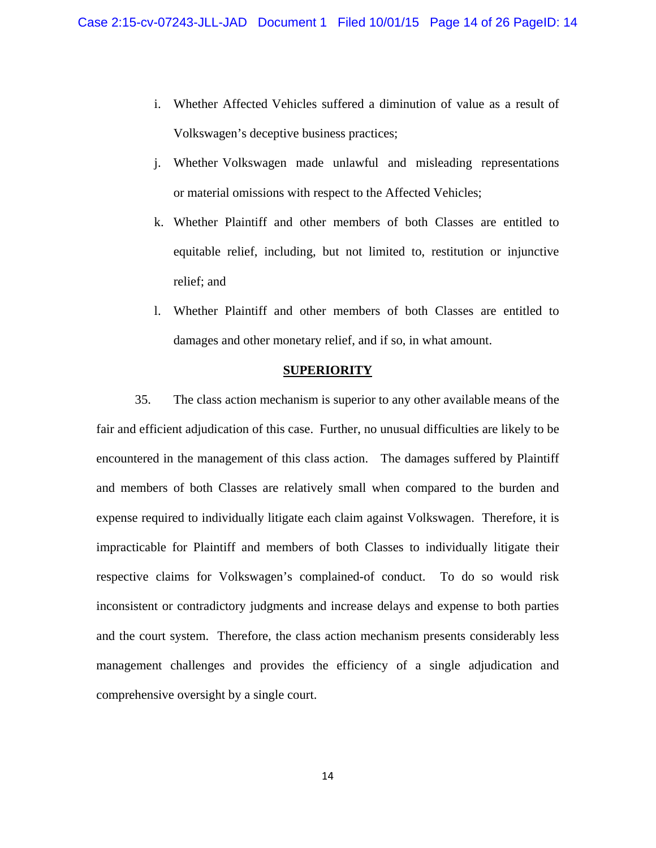- i. Whether Affected Vehicles suffered a diminution of value as a result of Volkswagen's deceptive business practices;
- j. Whether Volkswagen made unlawful and misleading representations or material omissions with respect to the Affected Vehicles;
- k. Whether Plaintiff and other members of both Classes are entitled to equitable relief, including, but not limited to, restitution or injunctive relief; and
- l. Whether Plaintiff and other members of both Classes are entitled to damages and other monetary relief, and if so, in what amount.

## **SUPERIORITY**

35. The class action mechanism is superior to any other available means of the fair and efficient adjudication of this case. Further, no unusual difficulties are likely to be encountered in the management of this class action. The damages suffered by Plaintiff and members of both Classes are relatively small when compared to the burden and expense required to individually litigate each claim against Volkswagen. Therefore, it is impracticable for Plaintiff and members of both Classes to individually litigate their respective claims for Volkswagen's complained-of conduct. To do so would risk inconsistent or contradictory judgments and increase delays and expense to both parties and the court system. Therefore, the class action mechanism presents considerably less management challenges and provides the efficiency of a single adjudication and comprehensive oversight by a single court.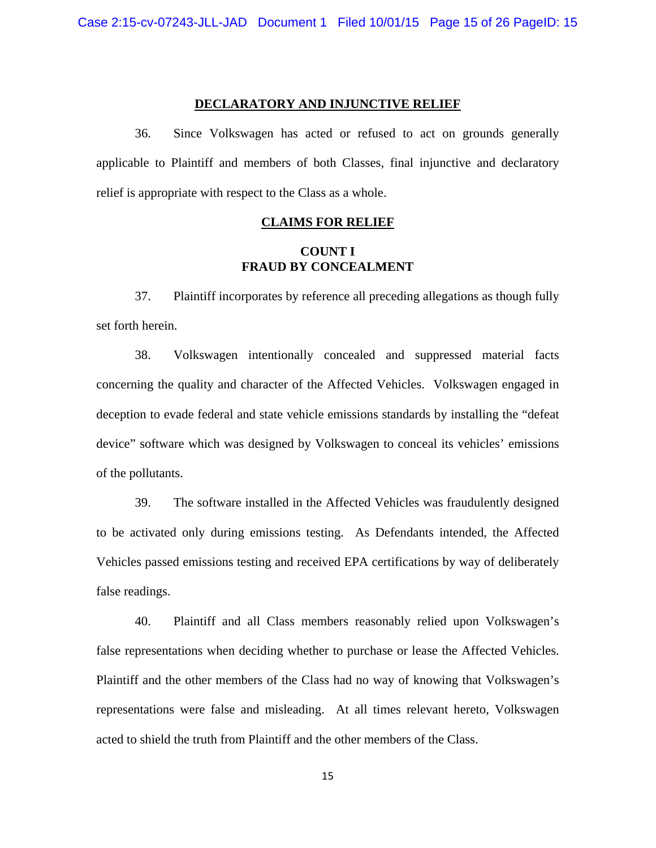#### **DECLARATORY AND INJUNCTIVE RELIEF**

36. Since Volkswagen has acted or refused to act on grounds generally applicable to Plaintiff and members of both Classes, final injunctive and declaratory relief is appropriate with respect to the Class as a whole.

#### **CLAIMS FOR RELIEF**

## **COUNT I FRAUD BY CONCEALMENT**

37. Plaintiff incorporates by reference all preceding allegations as though fully set forth herein.

38. Volkswagen intentionally concealed and suppressed material facts concerning the quality and character of the Affected Vehicles. Volkswagen engaged in deception to evade federal and state vehicle emissions standards by installing the "defeat device" software which was designed by Volkswagen to conceal its vehicles' emissions of the pollutants.

39. The software installed in the Affected Vehicles was fraudulently designed to be activated only during emissions testing. As Defendants intended, the Affected Vehicles passed emissions testing and received EPA certifications by way of deliberately false readings.

40. Plaintiff and all Class members reasonably relied upon Volkswagen's false representations when deciding whether to purchase or lease the Affected Vehicles. Plaintiff and the other members of the Class had no way of knowing that Volkswagen's representations were false and misleading. At all times relevant hereto, Volkswagen acted to shield the truth from Plaintiff and the other members of the Class.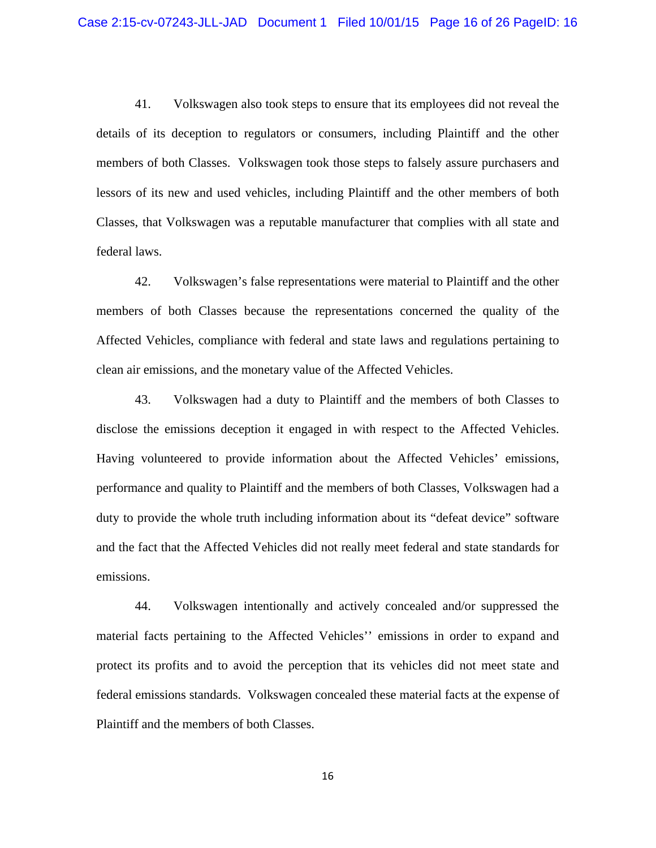41. Volkswagen also took steps to ensure that its employees did not reveal the details of its deception to regulators or consumers, including Plaintiff and the other members of both Classes. Volkswagen took those steps to falsely assure purchasers and lessors of its new and used vehicles, including Plaintiff and the other members of both Classes, that Volkswagen was a reputable manufacturer that complies with all state and federal laws.

42. Volkswagen's false representations were material to Plaintiff and the other members of both Classes because the representations concerned the quality of the Affected Vehicles, compliance with federal and state laws and regulations pertaining to clean air emissions, and the monetary value of the Affected Vehicles.

43. Volkswagen had a duty to Plaintiff and the members of both Classes to disclose the emissions deception it engaged in with respect to the Affected Vehicles. Having volunteered to provide information about the Affected Vehicles' emissions, performance and quality to Plaintiff and the members of both Classes, Volkswagen had a duty to provide the whole truth including information about its "defeat device" software and the fact that the Affected Vehicles did not really meet federal and state standards for emissions.

44. Volkswagen intentionally and actively concealed and/or suppressed the material facts pertaining to the Affected Vehicles'' emissions in order to expand and protect its profits and to avoid the perception that its vehicles did not meet state and federal emissions standards. Volkswagen concealed these material facts at the expense of Plaintiff and the members of both Classes.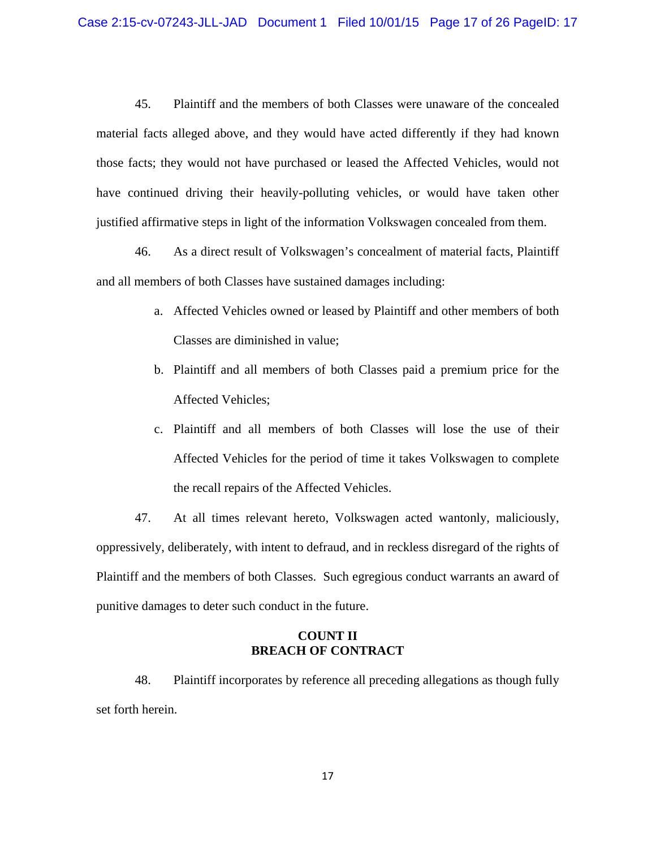45. Plaintiff and the members of both Classes were unaware of the concealed material facts alleged above, and they would have acted differently if they had known those facts; they would not have purchased or leased the Affected Vehicles, would not have continued driving their heavily-polluting vehicles, or would have taken other justified affirmative steps in light of the information Volkswagen concealed from them.

46. As a direct result of Volkswagen's concealment of material facts, Plaintiff and all members of both Classes have sustained damages including:

- a. Affected Vehicles owned or leased by Plaintiff and other members of both Classes are diminished in value;
- b. Plaintiff and all members of both Classes paid a premium price for the Affected Vehicles;
- c. Plaintiff and all members of both Classes will lose the use of their Affected Vehicles for the period of time it takes Volkswagen to complete the recall repairs of the Affected Vehicles.

47. At all times relevant hereto, Volkswagen acted wantonly, maliciously, oppressively, deliberately, with intent to defraud, and in reckless disregard of the rights of Plaintiff and the members of both Classes. Such egregious conduct warrants an award of punitive damages to deter such conduct in the future.

# **COUNT II BREACH OF CONTRACT**

48. Plaintiff incorporates by reference all preceding allegations as though fully set forth herein.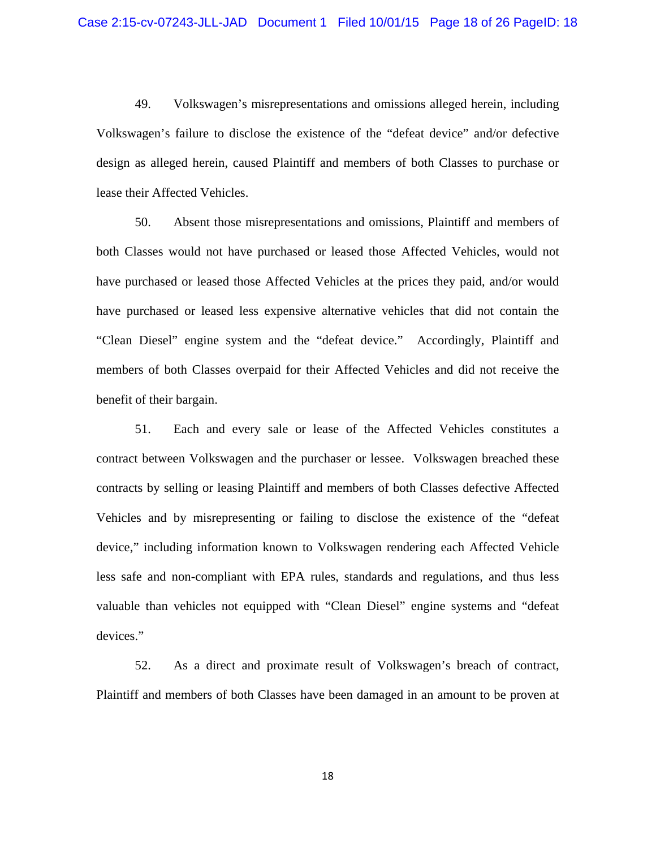49. Volkswagen's misrepresentations and omissions alleged herein, including Volkswagen's failure to disclose the existence of the "defeat device" and/or defective design as alleged herein, caused Plaintiff and members of both Classes to purchase or lease their Affected Vehicles.

50. Absent those misrepresentations and omissions, Plaintiff and members of both Classes would not have purchased or leased those Affected Vehicles, would not have purchased or leased those Affected Vehicles at the prices they paid, and/or would have purchased or leased less expensive alternative vehicles that did not contain the "Clean Diesel" engine system and the "defeat device." Accordingly, Plaintiff and members of both Classes overpaid for their Affected Vehicles and did not receive the benefit of their bargain.

51. Each and every sale or lease of the Affected Vehicles constitutes a contract between Volkswagen and the purchaser or lessee. Volkswagen breached these contracts by selling or leasing Plaintiff and members of both Classes defective Affected Vehicles and by misrepresenting or failing to disclose the existence of the "defeat device," including information known to Volkswagen rendering each Affected Vehicle less safe and non-compliant with EPA rules, standards and regulations, and thus less valuable than vehicles not equipped with "Clean Diesel" engine systems and "defeat devices."

52. As a direct and proximate result of Volkswagen's breach of contract, Plaintiff and members of both Classes have been damaged in an amount to be proven at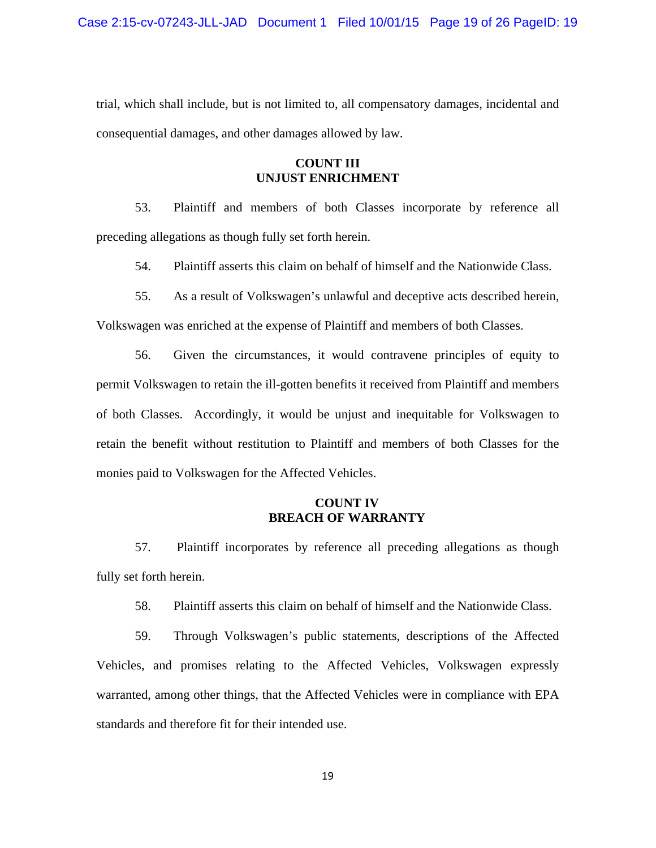trial, which shall include, but is not limited to, all compensatory damages, incidental and consequential damages, and other damages allowed by law.

## **COUNT III UNJUST ENRICHMENT**

53. Plaintiff and members of both Classes incorporate by reference all preceding allegations as though fully set forth herein.

54. Plaintiff asserts this claim on behalf of himself and the Nationwide Class.

55. As a result of Volkswagen's unlawful and deceptive acts described herein,

Volkswagen was enriched at the expense of Plaintiff and members of both Classes.

56. Given the circumstances, it would contravene principles of equity to permit Volkswagen to retain the ill-gotten benefits it received from Plaintiff and members of both Classes. Accordingly, it would be unjust and inequitable for Volkswagen to retain the benefit without restitution to Plaintiff and members of both Classes for the monies paid to Volkswagen for the Affected Vehicles.

## **COUNT IV BREACH OF WARRANTY**

57. Plaintiff incorporates by reference all preceding allegations as though fully set forth herein.

58. Plaintiff asserts this claim on behalf of himself and the Nationwide Class.

59. Through Volkswagen's public statements, descriptions of the Affected Vehicles, and promises relating to the Affected Vehicles, Volkswagen expressly warranted, among other things, that the Affected Vehicles were in compliance with EPA standards and therefore fit for their intended use.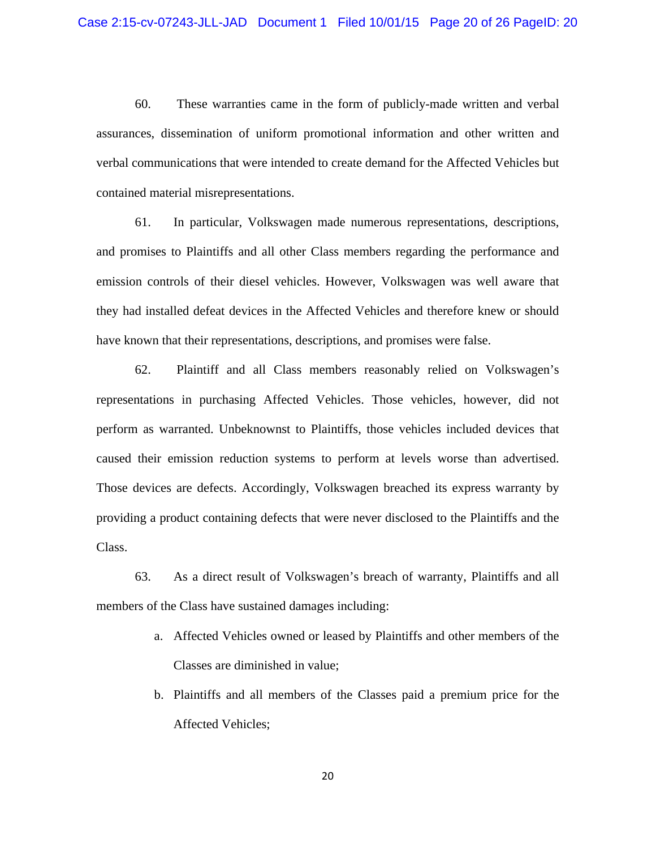60. These warranties came in the form of publicly-made written and verbal assurances, dissemination of uniform promotional information and other written and verbal communications that were intended to create demand for the Affected Vehicles but contained material misrepresentations.

61. In particular, Volkswagen made numerous representations, descriptions, and promises to Plaintiffs and all other Class members regarding the performance and emission controls of their diesel vehicles. However, Volkswagen was well aware that they had installed defeat devices in the Affected Vehicles and therefore knew or should have known that their representations, descriptions, and promises were false.

62. Plaintiff and all Class members reasonably relied on Volkswagen's representations in purchasing Affected Vehicles. Those vehicles, however, did not perform as warranted. Unbeknownst to Plaintiffs, those vehicles included devices that caused their emission reduction systems to perform at levels worse than advertised. Those devices are defects. Accordingly, Volkswagen breached its express warranty by providing a product containing defects that were never disclosed to the Plaintiffs and the Class.

63. As a direct result of Volkswagen's breach of warranty, Plaintiffs and all members of the Class have sustained damages including:

- a. Affected Vehicles owned or leased by Plaintiffs and other members of the Classes are diminished in value;
- b. Plaintiffs and all members of the Classes paid a premium price for the Affected Vehicles;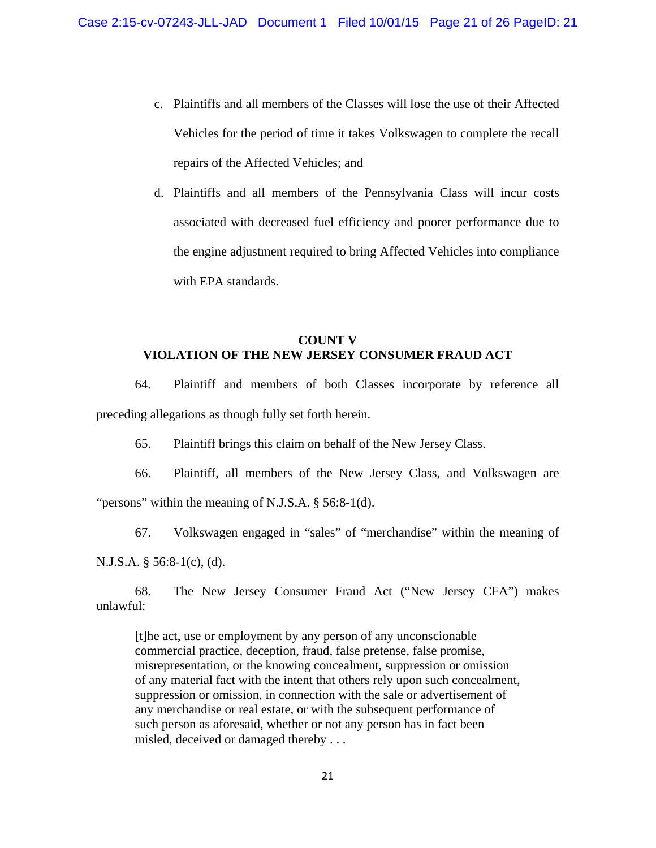- c. Plaintiffs and all members of the Classes will lose the use of their Affected Vehicles for the period of time it takes Volkswagen to complete the recall repairs of the Affected Vehicles; and
- d. Plaintiffs and all members of the Pennsylvania Class will incur costs associated with decreased fuel efficiency and poorer performance due to the engine adjustment required to bring Affected Vehicles into compliance with EPA standards.

# **COUNT V VIOLATION OF THE NEW JERSEY CONSUMER FRAUD ACT**

64. Plaintiff and members of both Classes incorporate by reference all preceding allegations as though fully set forth herein.

65. Plaintiff brings this claim on behalf of the New Jersey Class.

66. Plaintiff, all members of the New Jersey Class, and Volkswagen are "persons" within the meaning of N.J.S.A. § 56:8-1(d).

67. Volkswagen engaged in "sales" of "merchandise" within the meaning of N.J.S.A. § 56:8-1(c), (d).

68. The New Jersey Consumer Fraud Act ("New Jersey CFA") makes unlawful:

[t]he act, use or employment by any person of any unconscionable commercial practice, deception, fraud, false pretense, false promise, misrepresentation, or the knowing concealment, suppression or omission of any material fact with the intent that others rely upon such concealment, suppression or omission, in connection with the sale or advertisement of any merchandise or real estate, or with the subsequent performance of such person as aforesaid, whether or not any person has in fact been misled, deceived or damaged thereby . . .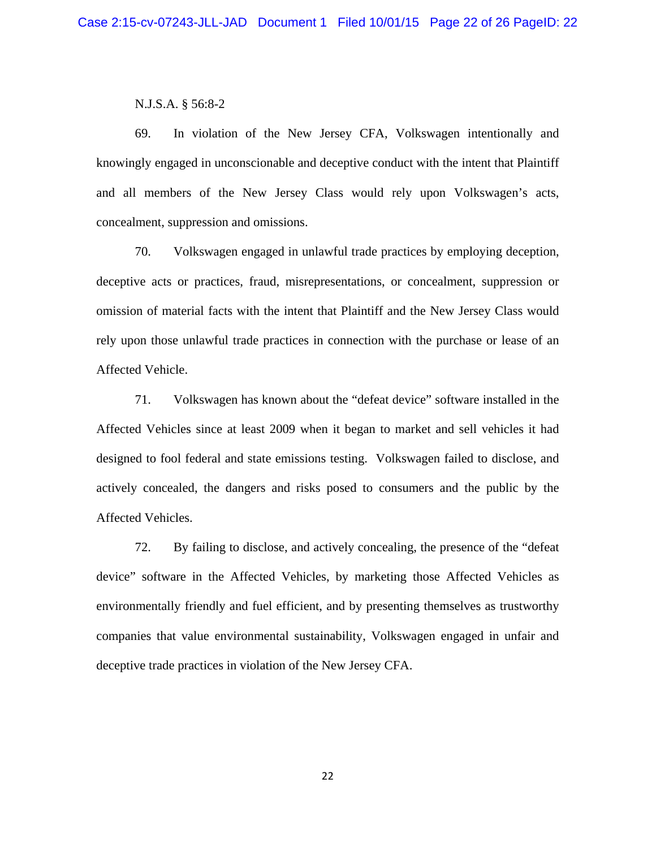#### N.J.S.A. § 56:8-2

69. In violation of the New Jersey CFA, Volkswagen intentionally and knowingly engaged in unconscionable and deceptive conduct with the intent that Plaintiff and all members of the New Jersey Class would rely upon Volkswagen's acts, concealment, suppression and omissions.

70. Volkswagen engaged in unlawful trade practices by employing deception, deceptive acts or practices, fraud, misrepresentations, or concealment, suppression or omission of material facts with the intent that Plaintiff and the New Jersey Class would rely upon those unlawful trade practices in connection with the purchase or lease of an Affected Vehicle.

71. Volkswagen has known about the "defeat device" software installed in the Affected Vehicles since at least 2009 when it began to market and sell vehicles it had designed to fool federal and state emissions testing. Volkswagen failed to disclose, and actively concealed, the dangers and risks posed to consumers and the public by the Affected Vehicles.

72. By failing to disclose, and actively concealing, the presence of the "defeat device" software in the Affected Vehicles, by marketing those Affected Vehicles as environmentally friendly and fuel efficient, and by presenting themselves as trustworthy companies that value environmental sustainability, Volkswagen engaged in unfair and deceptive trade practices in violation of the New Jersey CFA.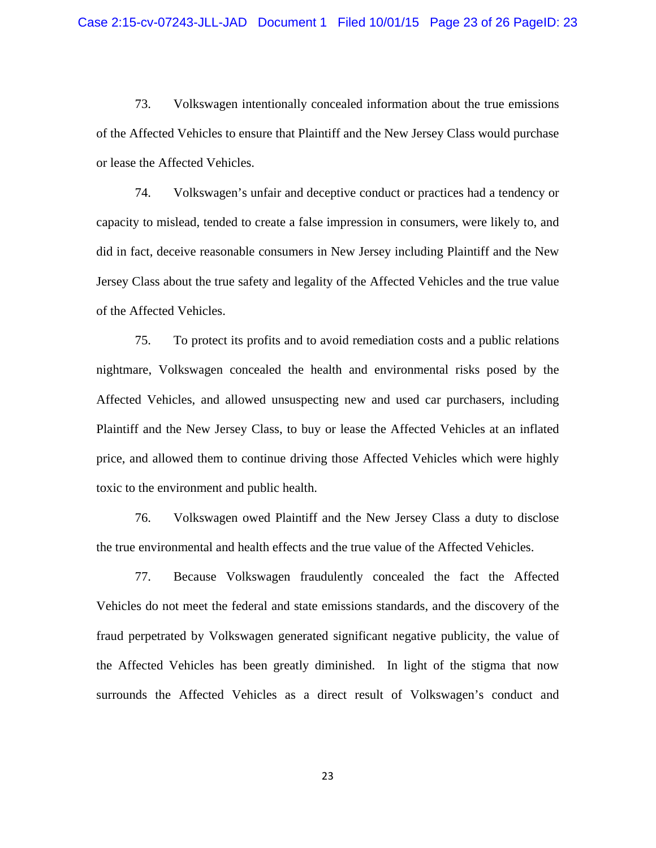73. Volkswagen intentionally concealed information about the true emissions of the Affected Vehicles to ensure that Plaintiff and the New Jersey Class would purchase or lease the Affected Vehicles.

74. Volkswagen's unfair and deceptive conduct or practices had a tendency or capacity to mislead, tended to create a false impression in consumers, were likely to, and did in fact, deceive reasonable consumers in New Jersey including Plaintiff and the New Jersey Class about the true safety and legality of the Affected Vehicles and the true value of the Affected Vehicles.

75. To protect its profits and to avoid remediation costs and a public relations nightmare, Volkswagen concealed the health and environmental risks posed by the Affected Vehicles, and allowed unsuspecting new and used car purchasers, including Plaintiff and the New Jersey Class, to buy or lease the Affected Vehicles at an inflated price, and allowed them to continue driving those Affected Vehicles which were highly toxic to the environment and public health.

76. Volkswagen owed Plaintiff and the New Jersey Class a duty to disclose the true environmental and health effects and the true value of the Affected Vehicles.

77. Because Volkswagen fraudulently concealed the fact the Affected Vehicles do not meet the federal and state emissions standards, and the discovery of the fraud perpetrated by Volkswagen generated significant negative publicity, the value of the Affected Vehicles has been greatly diminished. In light of the stigma that now surrounds the Affected Vehicles as a direct result of Volkswagen's conduct and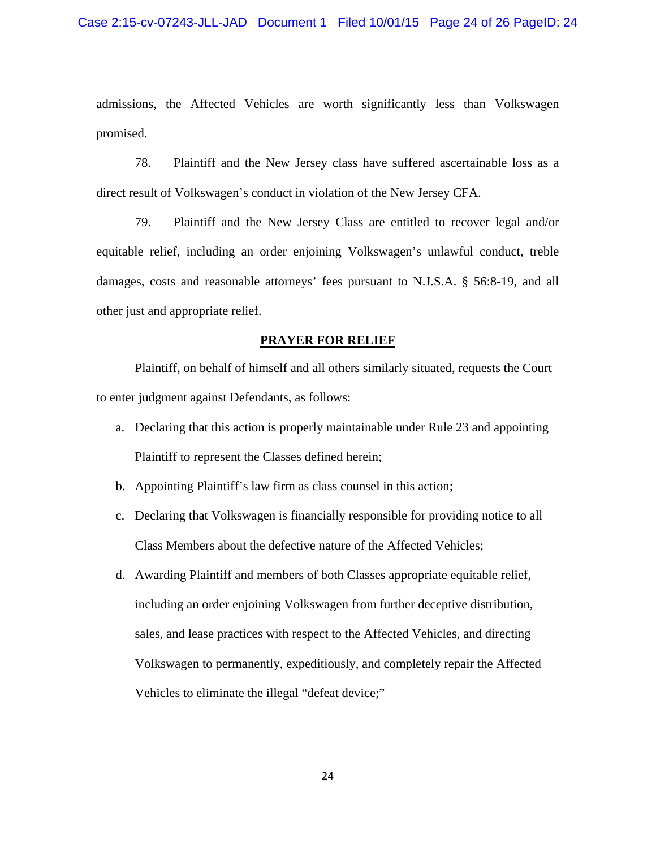admissions, the Affected Vehicles are worth significantly less than Volkswagen promised.

78. Plaintiff and the New Jersey class have suffered ascertainable loss as a direct result of Volkswagen's conduct in violation of the New Jersey CFA.

79. Plaintiff and the New Jersey Class are entitled to recover legal and/or equitable relief, including an order enjoining Volkswagen's unlawful conduct, treble damages, costs and reasonable attorneys' fees pursuant to N.J.S.A. § 56:8-19, and all other just and appropriate relief.

#### **PRAYER FOR RELIEF**

 Plaintiff, on behalf of himself and all others similarly situated, requests the Court to enter judgment against Defendants, as follows:

- a. Declaring that this action is properly maintainable under Rule 23 and appointing Plaintiff to represent the Classes defined herein;
- b. Appointing Plaintiff's law firm as class counsel in this action;
- c. Declaring that Volkswagen is financially responsible for providing notice to all Class Members about the defective nature of the Affected Vehicles;
- d. Awarding Plaintiff and members of both Classes appropriate equitable relief, including an order enjoining Volkswagen from further deceptive distribution, sales, and lease practices with respect to the Affected Vehicles, and directing Volkswagen to permanently, expeditiously, and completely repair the Affected Vehicles to eliminate the illegal "defeat device;"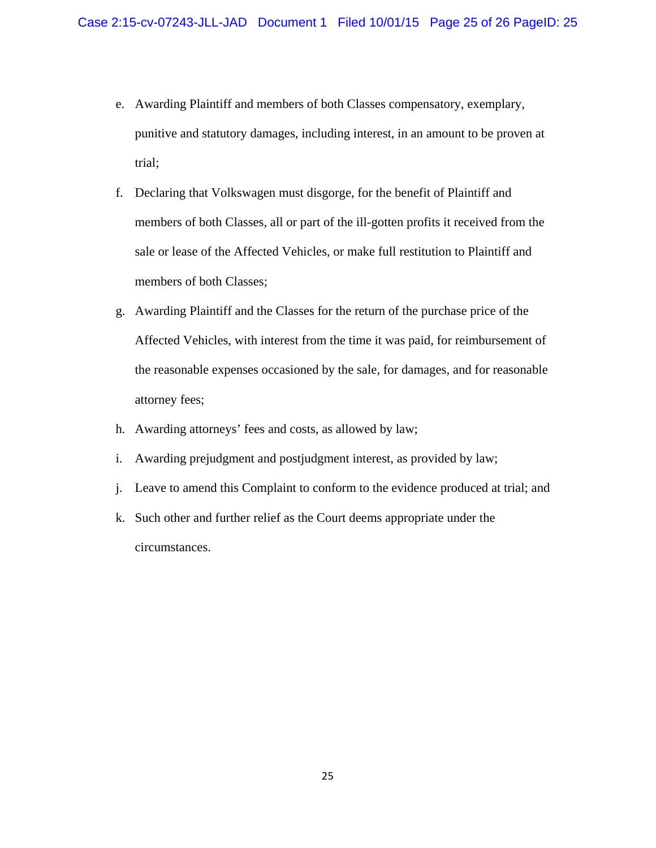- e. Awarding Plaintiff and members of both Classes compensatory, exemplary, punitive and statutory damages, including interest, in an amount to be proven at trial;
- f. Declaring that Volkswagen must disgorge, for the benefit of Plaintiff and members of both Classes, all or part of the ill-gotten profits it received from the sale or lease of the Affected Vehicles, or make full restitution to Plaintiff and members of both Classes;
- g. Awarding Plaintiff and the Classes for the return of the purchase price of the Affected Vehicles, with interest from the time it was paid, for reimbursement of the reasonable expenses occasioned by the sale, for damages, and for reasonable attorney fees;
- h. Awarding attorneys' fees and costs, as allowed by law;
- i. Awarding prejudgment and postjudgment interest, as provided by law;
- j. Leave to amend this Complaint to conform to the evidence produced at trial; and
- k. Such other and further relief as the Court deems appropriate under the circumstances.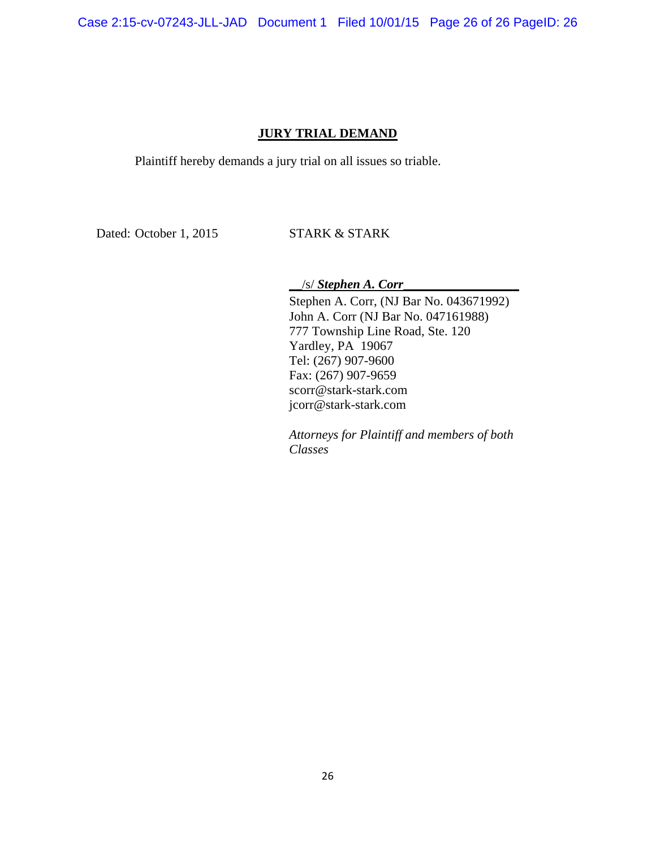Case 2:15-cv-07243-JLL-JAD Document 1 Filed 10/01/15 Page 26 of 26 PageID: 26

## **JURY TRIAL DEMAND**

Plaintiff hereby demands a jury trial on all issues so triable.

Dated: October 1, 2015 STARK & STARK

\_\_/s/ *Stephen A. Corr*\_\_\_\_\_\_\_\_\_\_\_\_\_\_\_\_\_\_

Stephen A. Corr, (NJ Bar No. 043671992) John A. Corr (NJ Bar No. 047161988) 777 Township Line Road, Ste. 120 Yardley, PA 19067 Tel: (267) 907-9600 Fax: (267) 907-9659 scorr@stark-stark.com jcorr@stark-stark.com

*Attorneys for Plaintiff and members of both Classes*